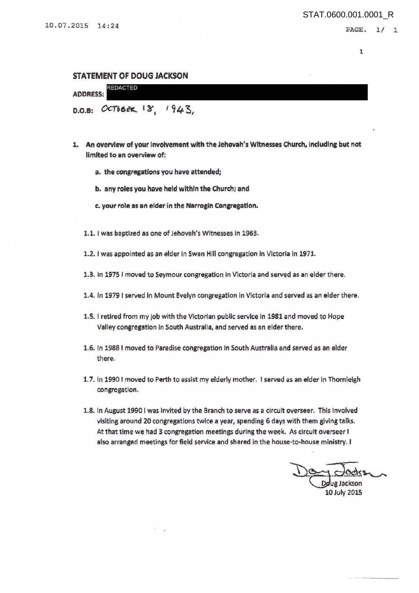## STATEMENT OF DOUG JACKSON

| <b>ADDRESS:</b> | <b>REDACTED</b>          |  |
|-----------------|--------------------------|--|
|                 | D.O.B: OCTOBER 18, 1943, |  |

- 1. An overview of your Involvement with the Jehovah's Witnesses Church, indudlng but not limited to an overview of:
	- a. the congregations you have attended;
	- b. any roles you have held within the Church; and
	- c. your role as an elder in the Narrogin Congregation.
	- 1.1. I was baptized as one of Jehovah's Witnesses in 1963.
	- 1.2. I was appointed as an elder in Swan Hill congregation in Victoria in 1971.
	- 1.3. In 1975 I moved to Seymour congregation in Victoria and served as an elder there.
	- 1.4. In 1979 I served In Mount Evelyn congregation in Victoria and served as an elder there.
	- 1.5. I retired from my job with the Victorian public service in 1981 and moved to Hope Valley congregation In South Australia, and served as an elder there.
	- 1.6. In 1988 I moved to Paradise congregation In South Australia and served as an elder there.
	- 1. 7. In 1990 I moved to Perth to assist my elderly mother. I served as an elder in Thornlelgh congregation.
	- 1.8. In August 1990 I was invited by the Branch to serve as a circuit overseer. This involved visiting around 20 congregations twice a year, spending 6 days with them giving talks. At that time we had 3 congregation meetings during the week. As circuit overseer I also arranged meetings for field service and shared in the house-to-house ministry. I

De dedre 10July 2015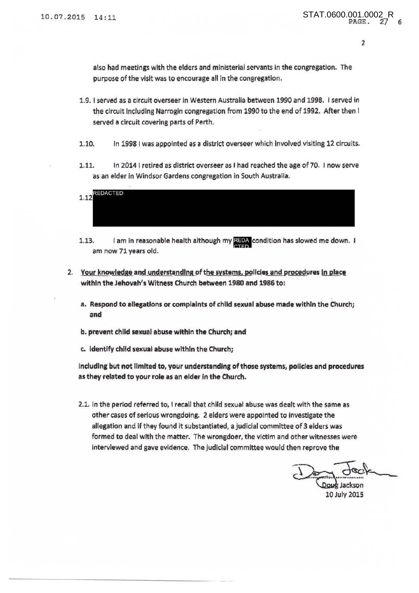also had meetings with the elders and ministerial servants in the congregation. The purpose of the visit was to encourage all in the congregation.

- 1.9. I served as a circuit overseer in Western Australia between 1990 and 1998. I served in the circuit Including Narrogin congregation from 1990 to the end of 1992. After then I served a circuit covering parts of Perth.
- 1.10. In 1998 I was appointed as a district overseer which Involved visiting 12 circuits.
- 1.11. In 20141 retired as district overseer as I had reached the age of 70. I now serve as an elder in Windsor Gardens congregation in South Australia.



- 1.13. I am in reasonable health although my REDA condition has slowed me down. I am now 71 years old.
- 2. Your knowledge and understanding of the systems, policies and procedures in place within the Jehovah's Witness Church between 1980 and 1986 to:
	- a. Respond to allegations or complaints of child sexual abuse made within the Church; and
	- b. prevent chlld sexual abuse within the Church; and
	- c. Identify chlld sexual abuse within the Church;

including but not limited to, your understanding of those systems, policies and procedures as they related to your role as an elder in the Church.

2.1. In the period referred to, I recall that child sexual abuse was dealt with the same as other cases of serious wrongdoing. 2 elders were appointed to investigate the allegation and if they found it substantiated, a judicial committee of 3 elders was formed to deal with the matter. The wrongdoer, the victim and other witnesses were interviewed and gave evidence. The judicial committee would then reprove the

en reprove the<br>Doug Jackson<br>10 July 2015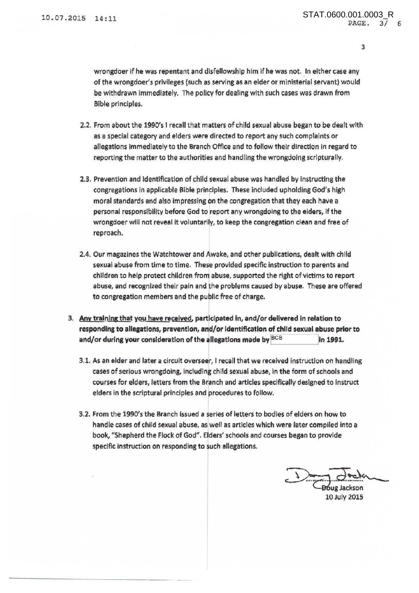3

wrongdoer if he was repentant and disfellowship him if he was not. In either case any of the wrongdoer's privileges (such as serving as an elder or ministerial servant) would be withdrawn immediately. The policy for dealing with such cases was drawn from Bible principles.

- 2.2. From about the 1990's I recall that matters of child sexual abuse began to be dealt with as a special category and elders were directed to report any such complaints or allegations Immediately to the Branch Office and to follow their direction in regard to reporting the matter to the authorities and handling the wrongdoing scripturally.
- 2.3. Prevention and identification of child sexual abuse was handled by instructing the congregations in applicable Bible principles. These included upholding God's high moral standards and also impressing *bn* the congregation that they each have <sup>a</sup> personal responsibility before God to freport any wrongdoing to the elders, if the wrongdoer wlll not reveal it voluntarily, to keep the congregation clean and free of reproach.
- 2.4. Our magazines the Watchtower and Awake, and other publlcations, dealt with child sexual abuse from time to time. These provided specific instruction to parents and children to help protect children from abuse, supported the right of victims to report abuse, and recognized their pain and the problems caused by abuse. These are offered to congregation members and the publlc free of charge.
- 3. Any training that you have received, participated in, and/or delivered in relation to responding to allegations, prevention, and/or identification of child sexual abuse prior to and/or during your consideration of the allegations made by  $BCB$  lin 1991.
	- 3.1. As an elder and later a circuit overseer, I recall that we received instruction on handling cases of serious wrongdoing, including child sexual abuse, in the form of schools and courses for elders, letters from the Branch and articles specifically designed to instruct elders in the scriptural principles and procedures to follow.
	- 3.2. From the 1990's the Branch Issued a series of letters to bodies of elders on how to handle cases of child sexual abuse, as well as articles which were later compiled Into a book, "Shepherd the Flock of God". Elders' schools and courses began to provide specific Instruction on responding to such allegations.

Doug Jackson

lOJuly 2015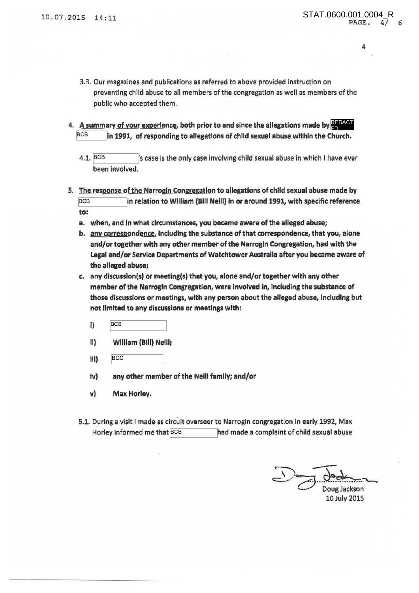4

- 3.3. Our magazines and publications as referred to above provided instruction on preventing child abuse to all members of the congregation as well as members of the public who accepted them.
- 4. A summary of your experience, both prior to and since the allegations made by REDACT BCB in 1991, of responding to allegations of child sexual abuse within the Church.
	- 4.1.  $BCB$  scase is the only case involving child sexual abuse in which I have ever been involved.
- 5. The response of the Narrogin Congregation to allegations of child sexual abuse made by BCB in relation to William (Bill Neill) in or around 1991, with specific reference to:
	- a. when, and in what circumstances, you became aware of the alleged abuse;
	- b. any correspondence, including the substance of that correspondence, that you, alone and/or together with any other member of the Narrogin Congregation, had with the Legal and/or Service Departments of Watchtower Australia after you became aware of the alleged abuse;
	- c. any discusslon(s) or meeting(s) that you, alone and/or together with any other member of the Narrogln Congregation, were involved in, tnduding the substance of those discussions or meetings, with any person about the alleged abuse, Including but not limited to any discussions or meetings with:
		- $\overline{BCB}$
		- II) Wllllam (Bill) Nelll;
		- $\frac{1}{2}$  =  $\frac{1}{2}$  =  $\frac{1}{2}$  =  $\frac{1}{2}$  =  $\frac{1}{2}$  =  $\frac{1}{2}$  =  $\frac{1}{2}$  =  $\frac{1}{2}$  =  $\frac{1}{2}$  =  $\frac{1}{2}$  =  $\frac{1}{2}$  =  $\frac{1}{2}$  =  $\frac{1}{2}$  =  $\frac{1}{2}$  =  $\frac{1}{2}$  =  $\frac{1}{2}$  =  $\frac{1}{2}$  =  $\frac{1}{2}$  =  $\frac{1$
		- iv) any other member of the Neill famlly; and/or
		- v) Max Horley.
	- 5.1. During a visit I made as circuit overseer to Narrogin congregation in early 1992, Max Horley informed me that BCB had made a complaint of child sexual abuse

Doug Jackson 10July 2015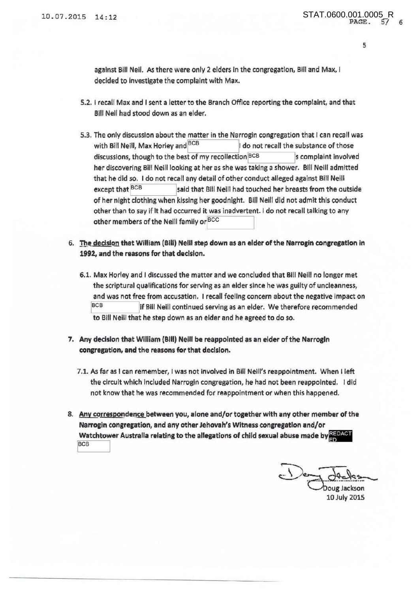s

against Bill Neil. As there were only 2 elders in the congregation, Bill and Max, I decided to investigate the complaint with Max.

- 5.2. I recall Max and I sent a letter to the Branch Office reporting the complaint, and that Bill Nell had stood down as an elder.
- 5.3. The only discussion about the matter in the Narrogin congregation that I can recall was with Bill Neill, Max Horley and  $BCB$   $\qquad$  1 do not recall the substance of those discussions, though to the best of my recollection BCB scomplaint involved her discovering Bill Neill looking at her as she was taking a shower. Bill Neill admitted that he did so. I do not recall any detail of other conduct alleged against Bill Neill except that BCB said that Bill Neill had touched her breasts from the outside of her night clothing when kissing her goodnight. Bill Neill did not admit this conduct other than to say if It had occurred it was inadvertent. I do not recall talking to any other members of the Neill family or BCC
- 6. The decision that William (Bill) Nelli step down as an elder of the Narrogin congregation in 1992, and the reasons for that decision.
	- 6.1. Max Horley and I discussed the matter and we concluded that Bill Neill no longer met the scriptural qualifications for serving as an elder since he was guilty of uncleanness, and was not free from accusation. I recall feeling concern about the negative impact on BCB if Bill Neill continued serving as an elder. We therefore recommended to Bill Neill that he step down as an elder and he agreed to do so.
- 7. Any decision that William (Bill) Neill be reappointed as an elder of the Narrogin congregation, and the reasons for that decision.
	- 7.1. As far as I can remember, I was not Involved in Bill Neill's reappointment. When I left the circuit which Included Narrogin congregation, he had not been reappointed. I did not know that he was recommended for reappointment or when this happened.
- 8. Any correspondence between you, alone and/or together with any other member of the Narrogin congregation, and any other Jehovah's Witness congregation and/or Watchtower Australia relating to the allegations of child sexual abuse made by  $\frac{\text{RIDACT}}{\text{BOL}}$

Ooug Jackson 10July 2015